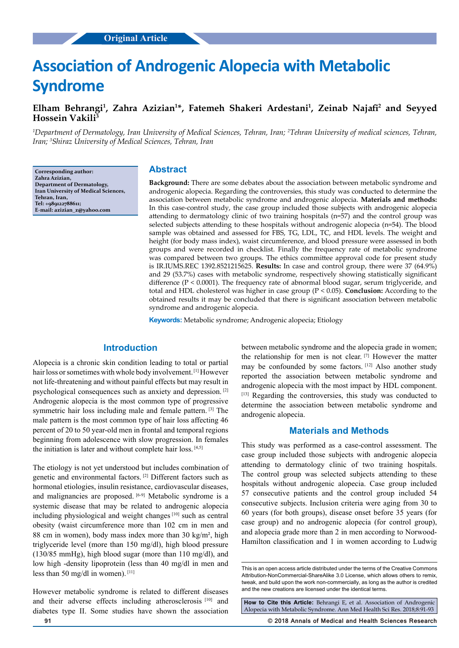# **Association of Androgenic Alopecia with Metabolic Syndrome**

## **Elham Behrangi1 , Zahra Azizian1 \*, Fatemeh Shakeri Ardestani1 , Zeinab Najafi<sup>2</sup> and Seyyed Hossein Vakili3**

*1 Department of Dermatology, Iran University of Medical Sciences, Tehran, Iran; 2 Tehran University of medical sciences, Tehran, Iran; 3 Shiraz University of Medical Sciences, Tehran, Iran*

**Corresponding author: Zahra Azizian, Department of Dermatology, Iran University of Medical Sciences, Tehran, Iran, Tel: +989122788611; E-mail: azizian\_z@yahoo.com**

## **Abstract**

**Background:** There are some debates about the association between metabolic syndrome and androgenic alopecia. Regarding the controversies, this study was conducted to determine the association between metabolic syndrome and androgenic alopecia. **Materials and methods:** In this case-control study, the case group included those subjects with androgenic alopecia attending to dermatology clinic of two training hospitals (n=57) and the control group was selected subjects attending to these hospitals without androgenic alopecia (n=54). The blood sample was obtained and assessed for FBS, TG, LDL, TC, and HDL levels. The weight and height (for body mass index), waist circumference, and blood pressure were assessed in both groups and were recorded in checklist. Finally the frequency rate of metabolic syndrome was compared between two groups. The ethics committee approval code for present study is IR.IUMS.REC 1392.8521215625. **Results:** In case and control group, there were 37 (64.9%) and 29 (53.7%) cases with metabolic syndrome, respectively showing statistically significant difference ( $P < 0.0001$ ). The frequency rate of abnormal blood sugar, serum triglyceride, and total and HDL cholesterol was higher in case group (P < 0.05). **Conclusion:** According to the obtained results it may be concluded that there is significant association between metabolic syndrome and androgenic alopecia.

**Keywords:** Metabolic syndrome; Androgenic alopecia; Etiology

## **Introduction**

Alopecia is a chronic skin condition leading to total or partial hair loss or sometimes with whole body involvement. [1] However not life-threatening and without painful effects but may result in psychological consequences such as anxiety and depression. [2] Androgenic alopecia is the most common type of progressive symmetric hair loss including male and female pattern. [3] The male pattern is the most common type of hair loss affecting 46 percent of 20 to 50 year-old men in frontal and temporal regions beginning from adolescence with slow progression. In females the initiation is later and without complete hair loss. [4,5]

The etiology is not yet understood but includes combination of genetic and environmental factors. [2] Different factors such as hormonal etiologies, insulin resistance, cardiovascular diseases, and malignancies are proposed. [6-9] Metabolic syndrome is a systemic disease that may be related to androgenic alopecia including physiological and weight changes [10] such as central obesity (waist circumference more than 102 cm in men and 88 cm in women), body mass index more than 30 kg/m², high triglyceride level (more than 150 mg/dl), high blood pressure (130/85 mmHg), high blood sugar (more than 110 mg/dl), and low high -density lipoprotein (less than 40 mg/dl in men and less than 50 mg/dl in women). [11]

However metabolic syndrome is related to different diseases and their adverse effects including atherosclerosis [10] and diabetes type II. Some studies have shown the association

between metabolic syndrome and the alopecia grade in women; the relationship for men is not clear. [7] However the matter may be confounded by some factors. [12] Also another study reported the association between metabolic syndrome and androgenic alopecia with the most impact by HDL component. [13] Regarding the controversies, this study was conducted to determine the association between metabolic syndrome and androgenic alopecia.

### **Materials and Methods**

This study was performed as a case-control assessment. The case group included those subjects with androgenic alopecia attending to dermatology clinic of two training hospitals. The control group was selected subjects attending to these hospitals without androgenic alopecia. Case group included 57 consecutive patients and the control group included 54 consecutive subjects. Inclusion criteria were aging from 30 to 60 years (for both groups), disease onset before 35 years (for case group) and no androgenic alopecia (for control group), and alopecia grade more than 2 in men according to Norwood-Hamilton classification and 1 in women according to Ludwig

**How to Cite this Article:** Behrangi E, et al. Association of Androgenic Alopecia with Metabolic Syndrome. Ann Med Health Sci Res. 2018;8:91-93

**91 © 2018 Annals of Medical and Health Sciences Research** 

This is an open access article distributed under the terms of the Creative Commons Attribution-NonCommercial-ShareAlike 3.0 License, which allows others to remix, tweak, and build upon the work non‑commercially, as long as the author is credited and the new creations are licensed under the identical terms.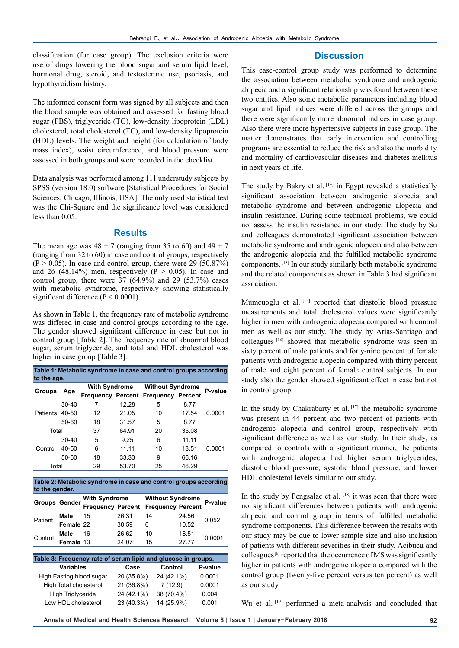classification (for case group). The exclusion criteria were use of drugs lowering the blood sugar and serum lipid level, hormonal drug, steroid, and testosterone use, psoriasis, and hypothyroidism history.

## The informed consent form was signed by all subjects and then the blood sample was obtained and assessed for fasting blood sugar (FBS), triglyceride (TG), low-density lipoprotein (LDL) cholesterol, total cholesterol (TC), and low-density lipoprotein (HDL) levels. The weight and height (for calculation of body mass index), waist circumference, and blood pressure were assessed in both groups and were recorded in the checklist.

Data analysis was performed among 111 understudy subjects by SPSS (version 18.0) software [Statistical Procedures for Social Sciences; Chicago, Illinois, USA]. The only used statistical test was the Chi-Square and the significance level was considered less than 0.05.

### **Results**

The mean age was  $48 \pm 7$  (ranging from 35 to 60) and  $49 \pm 7$ (ranging from 32 to 60) in case and control groups, respectively  $(P > 0.05)$ . In case and control group, there were 29 (50.87%) and 26 (48.14%) men, respectively ( $P > 0.05$ ). In case and control group, there were  $37$  (64.9%) and  $29$  (53.7%) cases with metabolic syndrome, respectively showing statistically significant difference ( $P < 0.0001$ ).

As shown in Table 1, the frequency rate of metabolic syndrome was differed in case and control groups according to the age. The gender showed significant difference in case but not in control group [Table 2]. The frequency rate of abnormal blood sugar, serum triglyceride, and total and HDL cholesterol was higher in case group [Table 3].

| Table 1: Metabolic syndrome in case and control groups according<br>to the age. |           |                      |       |                                            |       |         |  |  |  |  |
|---------------------------------------------------------------------------------|-----------|----------------------|-------|--------------------------------------------|-------|---------|--|--|--|--|
| <b>Groups</b>                                                                   | Age       | <b>With Syndrome</b> |       | <b>Without Syndrome</b>                    |       | P-value |  |  |  |  |
|                                                                                 |           |                      |       | <b>Frequency Percent Frequency Percent</b> |       |         |  |  |  |  |
| Patients 40-50                                                                  | $30 - 40$ | 7                    | 12.28 | 5                                          | 8.77  |         |  |  |  |  |
|                                                                                 |           | 12                   | 21.05 | 10                                         | 17.54 | 0.0001  |  |  |  |  |
|                                                                                 | 50-60     | 18                   | 31.57 | 5                                          | 8.77  |         |  |  |  |  |
| Total                                                                           |           | 37                   | 64.91 | 20                                         | 35.08 |         |  |  |  |  |
| Control                                                                         | $30 - 40$ | 5                    | 9.25  | 6                                          | 11.11 |         |  |  |  |  |
|                                                                                 | 40-50     | 6                    | 11.11 | 10                                         | 18.51 | 0.0001  |  |  |  |  |
|                                                                                 | 50-60     | 18                   | 33.33 | 9                                          | 66.16 |         |  |  |  |  |
| Total                                                                           |           | 29                   | 53.70 | 25                                         | 46.29 |         |  |  |  |  |
|                                                                                 |           |                      |       |                                            |       |         |  |  |  |  |

**Table 2: Metabolic syndrome in case and control groups according to the gender.**

|                                                               | <b>Groups Gender</b> | <b>With Syndrome</b>     |            | <b>Without Syndrome</b>  | P-value |         |  |  |  |  |
|---------------------------------------------------------------|----------------------|--------------------------|------------|--------------------------|---------|---------|--|--|--|--|
|                                                               |                      | <b>Frequency Percent</b> |            | <b>Frequency Percent</b> |         |         |  |  |  |  |
| Patient                                                       | Male                 | 15                       | 26.31      | 14                       | 24.56   | 0.052   |  |  |  |  |
|                                                               | Female 22            |                          | 38.59      | 6                        | 10.52   |         |  |  |  |  |
| Control                                                       | Male                 | 16                       | 26.62      | 10                       | 18.51   | 0.0001  |  |  |  |  |
|                                                               | Female 13            |                          | 24.07      | 15                       | 27.77   |         |  |  |  |  |
|                                                               |                      |                          |            |                          |         |         |  |  |  |  |
| Table 3: Frequency rate of serum lipid and glucose in groups. |                      |                          |            |                          |         |         |  |  |  |  |
| Variables                                                     |                      |                          | Case       | Control                  |         | P-value |  |  |  |  |
| High Fasting blood sugar                                      |                      |                          | 20 (35.8%) | 24 (42.1%)               |         | 0.0001  |  |  |  |  |
| High Total cholesterol                                        |                      |                          | 21 (36.8%) | 7(12.9)                  |         | 0.0001  |  |  |  |  |

High Triglyceride 24 (42.1%) 38 (70.4%) 0.004 Low HDL cholesterol 23 (40.3%) 14 (25.9%) 0.001 This case-control group study was performed to determine the association between metabolic syndrome and androgenic alopecia and a significant relationship was found between these two entities. Also some metabolic parameters including blood sugar and lipid indices were differed across the groups and there were significantly more abnormal indices in case group. Also there were more hypertensive subjects in case group. The matter demonstrates that early intervention and controlling programs are essential to reduce the risk and also the morbidity and mortality of cardiovascular diseases and diabetes mellitus in next years of life.

**Discussion**

The study by Bakry et al. [14] in Egypt revealed a statistically significant association between androgenic alopecia and metabolic syndrome and between androgenic alopecia and insulin resistance. During some technical problems, we could not assess the insulin resistance in our study. The study by Su and colleagues demonstrated significant association between metabolic syndrome and androgenic alopecia and also between the androgenic alopecia and the fulfilled metabolic syndrome components. [13] In our study similarly both metabolic syndrome and the related components as shown in Table 3 had significant association.

Mumcuoglu et al. [15] reported that diastolic blood pressure measurements and total cholesterol values were significantly higher in men with androgenic alopecia compared with control men as well as our study. The study by Arias-Santiago and colleagues [16] showed that metabolic syndrome was seen in sixty percent of male patients and forty-nine percent of female patients with androgenic alopecia compared with thirty percent of male and eight percent of female control subjects. In our study also the gender showed significant effect in case but not in control group.

In the study by Chakrabarty et al.  $[17]$  the metabolic syndrome was present in 44 percent and two percent of patients with androgenic alopecia and control group, respectively with significant difference as well as our study. In their study, as compared to controls with a significant manner, the patients with androgenic alopecia had higher serum triglycerides, diastolic blood pressure, systolic blood pressure, and lower HDL cholesterol levels similar to our study.

In the study by Pengsalae et al. [18] it was seen that there were no significant differences between patients with androgenic alopecia and control group in terms of fulfilled metabolic syndrome components. This difference between the results with our study may be due to lower sample size and also inclusion of patients with different severities in their study. Acibucu and colleagues  $[6]$  reported that the occurrence of MS was significantly higher in patients with androgenic alopecia compared with the control group (twenty-five percent versus ten percent) as well as our study.

Wu et al. [19] performed a meta-analysis and concluded that